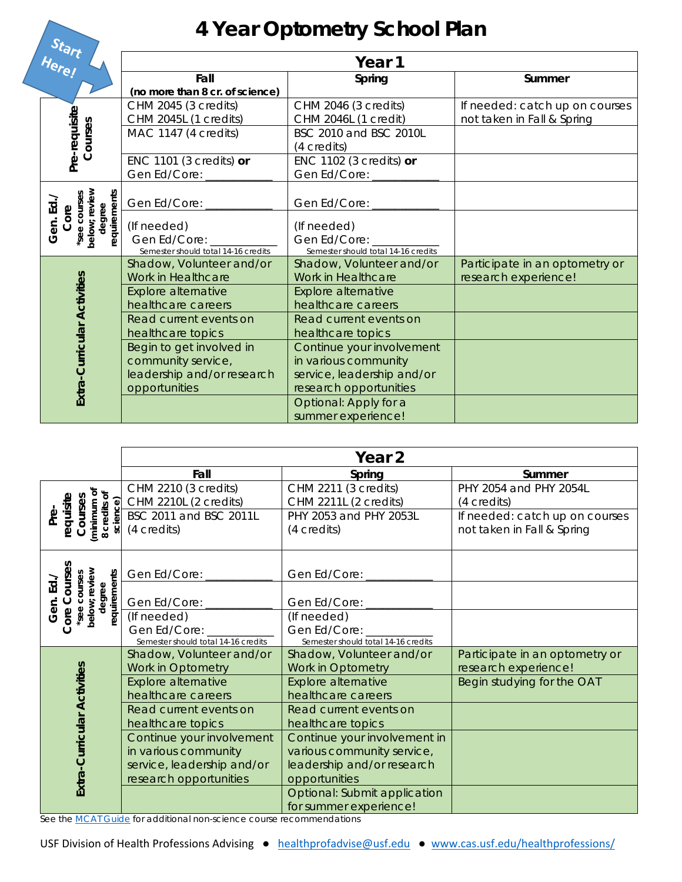## **4 Year Optometry School Plan**

|  | Here!                                                                        | Year 1                                                                                             |                                                                                                                    |                                                              |
|--|------------------------------------------------------------------------------|----------------------------------------------------------------------------------------------------|--------------------------------------------------------------------------------------------------------------------|--------------------------------------------------------------|
|  |                                                                              | Fall<br>(no more than 8 cr. of science)                                                            | Spring                                                                                                             | Summer                                                       |
|  | Pre-requisite<br>Courses                                                     | CHM 2045 (3 credits)<br>CHM 2045L (1 credits)<br>MAC 1147 (4 credits)<br>ENC 1101 (3 credits) $or$ | CHM 2046 (3 credits)<br>CHM 2046L (1 credit)<br>BSC 2010 and BSC 2010L<br>(4 credits)<br>ENC 1102 (3 credits) $or$ | If needed: catch up on courses<br>not taken in Fall & Spring |
|  |                                                                              | Gen Ed/Core: ______                                                                                | Gen Ed/Core: _____                                                                                                 |                                                              |
|  | *see courses<br>below; review<br>degree<br>requirements<br>요<br>Core<br>Gen. | Gen Ed/Core: _______                                                                               | Gen Ed/Core: ______                                                                                                |                                                              |
|  |                                                                              | (If needed)<br>Gen Ed/Core: Canada<br>Semester should total 14-16 credits                          | (If needed)<br>Gen Ed/Core:<br>Semester should total 14-16 credits                                                 |                                                              |
|  |                                                                              | Shadow, Volunteer and/or<br>Work in Healthcare                                                     | Shadow, Volunteer and/or<br>Work in Healthcare                                                                     | Participate in an optometry or<br>research experience!       |
|  | Extra-Curricular Activities                                                  | Explore alternative<br>healthcare careers                                                          | <b>Explore alternative</b><br>healthcare careers                                                                   |                                                              |
|  |                                                                              | Read current events on<br>healthcare topics                                                        | Read current events on<br>healthcare topics                                                                        |                                                              |
|  |                                                                              | Begin to get involved in<br>community service,<br>leadership and/or research<br>opportunities      | Continue your involvement<br>in various community<br>service, leadership and/or<br>research opportunities          |                                                              |
|  |                                                                              |                                                                                                    | Optional: Apply for a<br>summer experience!                                                                        |                                                              |

|                                                                             | Year 2                                                       |                                                              |                                                              |
|-----------------------------------------------------------------------------|--------------------------------------------------------------|--------------------------------------------------------------|--------------------------------------------------------------|
|                                                                             | Fall                                                         | Spring                                                       | Summer                                                       |
| (minimum of<br>8 credits of<br>requisite<br>Courses<br>science)<br><u>ድ</u> | CHM 2210 (3 credits)<br>CHM 2210L (2 credits)                | CHM 2211 (3 credits)<br>CHM 2211L (2 credits)                | PHY 2054 and PHY 2054L<br>(4 credits)                        |
|                                                                             | BSC 2011 and BSC 2011L<br>(4 credits)                        | PHY 2053 and PHY 2053L<br>(4 credits)                        | If needed: catch up on courses<br>not taken in Fall & Spring |
| Courses                                                                     | Gen Ed/Core: _                                               | Gen Ed/Core: _                                               |                                                              |
| below; review<br>requirements<br>see courses<br><u>ਨੇ</u><br>degree<br>Gen. | Gen Ed/Core:                                                 | Gen Ed/Core:                                                 |                                                              |
| Core                                                                        | (If needed)                                                  | (If needed)                                                  |                                                              |
|                                                                             | Gen Ed/Core: ________<br>Semester should total 14-16 credits | Gen Ed/Core: ________<br>Semester should total 14-16 credits |                                                              |
|                                                                             | Shadow, Volunteer and/or<br>Work in Optometry                | Shadow, Volunteer and/or<br>Work in Optometry                | Participate in an optometry or<br>research experience!       |
| Extra-Curricular Activities                                                 | <b>Explore alternative</b><br>healthcare careers             | <b>Explore alternative</b><br>healthcare careers             | Begin studying for the OAT                                   |
|                                                                             | Read current events on<br>healthcare topics                  | Read current events on<br>healthcare topics                  |                                                              |
|                                                                             | Continue your involvement<br>in various community            | Continue your involvement in<br>various community service,   |                                                              |
|                                                                             | service, leadership and/or<br>research opportunities         | leadership and/or research<br>opportunities                  |                                                              |
|                                                                             |                                                              | Optional: Submit application<br>for summer experience!       |                                                              |

*See the MCAT Guide for additional non-science course recommendations*